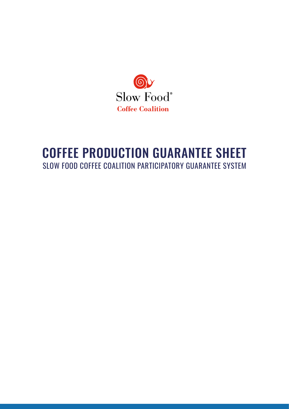

#### COFFEE PRODUCTION GUARANTEE SHEET SLOW FOOD COFFEE COALITION PARTICIPATORY GUARANTEE SYSTEM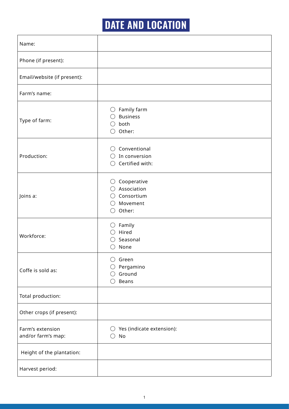# **DATE AND LOCATION**

| Name:                                  |                                                                                                     |
|----------------------------------------|-----------------------------------------------------------------------------------------------------|
| Phone (if present):                    |                                                                                                     |
| Email/website (if present):            |                                                                                                     |
| Farm's name:                           |                                                                                                     |
| Type of farm:                          | Family farm<br>$\left(\right)$<br><b>Business</b><br>both<br>Other:                                 |
| Production:                            | Conventional<br>In conversion<br>( )<br>Certified with:                                             |
| Joins a:                               | Cooperative<br>$\left(\right)$<br>Association<br>Consortium<br>Movement<br>$($ )<br>Other:<br>$($ ) |
| Workforce:                             | Family<br>( )<br>Hired<br>Seasonal<br>None                                                          |
| Coffe is sold as:                      | Green<br>Pergamino<br>Ground<br>Beans                                                               |
| Total production:                      |                                                                                                     |
| Other crops (if present):              |                                                                                                     |
| Farm's extension<br>and/or farm's map: | Yes (indicate extension):<br>$\left(\right)$<br>No<br>$($ )                                         |
| Height of the plantation:              |                                                                                                     |
| Harvest period:                        |                                                                                                     |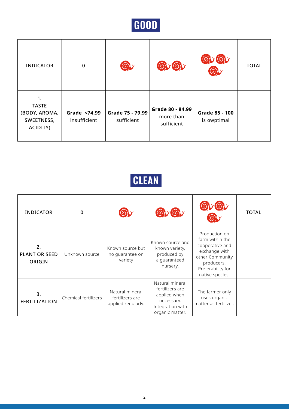

| <b>INDICATOR</b>                                              | $\mathbf 0$                  |                                |                                             |                               | <b>TOTAL</b> |
|---------------------------------------------------------------|------------------------------|--------------------------------|---------------------------------------------|-------------------------------|--------------|
| 1.<br><b>TASTE</b><br>(BODY, AROMA,<br>SWEETNESS,<br>ACIDITY) | Grade <74.99<br>insufficient | Grade 75 - 79.99<br>sufficient | Grade 80 - 84.99<br>more than<br>sufficient | Grade 85 - 100<br>is owptimal |              |

## **CLEAN**

| <b>INDICATOR</b>                     | 0                    |                                                          |                                                                                                         |                                                                                                                                               | <b>TOTAL</b> |
|--------------------------------------|----------------------|----------------------------------------------------------|---------------------------------------------------------------------------------------------------------|-----------------------------------------------------------------------------------------------------------------------------------------------|--------------|
| 2.<br><b>PLANT OR SEED</b><br>ORIGIN | Unknown source       | Known source but<br>no guarantee on<br>variety           | Known source and<br>known variety,<br>produced by<br>a guaranteed<br>nursery.                           | Production on<br>farm within the<br>cooperative and<br>exchange with<br>other Community<br>producers.<br>Preferability for<br>native species. |              |
| 3.<br><b>FERTILIZATION</b>           | Chemical fertilizers | Natural mineral<br>fertilizers are<br>applied regularly. | Natural mineral<br>fertilizers are<br>applied when<br>necessary.<br>Integration with<br>organic matter. | The farmer only<br>uses organic<br>matter as fertilizer.                                                                                      |              |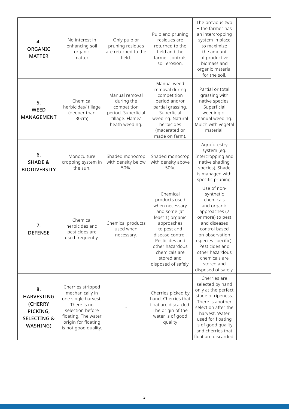| 4.<br>ORGANIC<br><b>MATTER</b>                                                       | No interest in<br>enhancing soil<br>organic<br>matter.                                                                                                               | Only pulp or<br>pruning residues<br>are returned to the<br>field.                                       | Pulp and pruning<br>residues are<br>returned to the<br>field and the<br>farmer controls<br>soil erosion.                                                                                                                    | The previous two<br>+ the farmer has<br>an intercropping<br>system in place<br>to maximize<br>the amount<br>of productive<br>biomass and<br>organic material<br>for the soil.                                                                                  |  |
|--------------------------------------------------------------------------------------|----------------------------------------------------------------------------------------------------------------------------------------------------------------------|---------------------------------------------------------------------------------------------------------|-----------------------------------------------------------------------------------------------------------------------------------------------------------------------------------------------------------------------------|----------------------------------------------------------------------------------------------------------------------------------------------------------------------------------------------------------------------------------------------------------------|--|
| 5.<br>WEED<br>MANAGEMENT                                                             | Chemical<br>herbicides/ tillage<br>(deeper than<br>30cm)                                                                                                             | Manual removal<br>during the<br>competition<br>period. Superficial<br>tillage. Flame/<br>heath weeding. | Manual weed<br>removal during<br>competition<br>period and/or<br>partial grassing.<br>Superficial<br>weeding. Natural<br>herbicides<br>(macerated or<br>made on farm).                                                      | Partial or total<br>grassing with<br>native species.<br>Superficial<br>weeding or<br>manual weeding.<br>Mulch with vegetal<br>material.                                                                                                                        |  |
| 6.<br><b>SHADE &amp;</b><br><b>BIODIVERSITY</b>                                      | Monoculture<br>cropping system in<br>the sun.                                                                                                                        | Shaded monocrop<br>with density below<br>50%.                                                           | Shaded monocrop<br>with density above<br>50%.                                                                                                                                                                               | Agroforestry<br>system (eg.<br>Intercropping and<br>native shading<br>species). Shade<br>is managed with<br>specific pruning.                                                                                                                                  |  |
| 7.<br><b>DEFENSE</b>                                                                 | Chemical<br>herbicides and<br>pesticides are<br>used frequently.                                                                                                     | Chemical products<br>used when<br>necessary.                                                            | Chemical<br>products used<br>when necessary<br>and some (at<br>least 1) organic<br>approaches<br>to pest and<br>disease control.<br>Pesticides and<br>other hazardous<br>chemicals are<br>stored and<br>disposed of safely. | Use of non-<br>synthetic<br>chemicals<br>and organic<br>approaches (2<br>or more) to pest<br>and diseases<br>control based<br>on observation<br>(species specific).<br>Pesticides and<br>other hazardous<br>chemicals are<br>stored and<br>disposed of safely. |  |
| 8.<br><b>HARVESTING</b><br>(CHERRY<br>PICKING,<br><b>SELECTING &amp;</b><br>WASHING) | Cherries stripped<br>mechanically in<br>one single harvest.<br>There is no<br>selection before<br>floating. The water<br>origin for floating<br>is not good quality. |                                                                                                         | Cherries picked by<br>hand. Cherries that<br>float are discarded.<br>The origin of the<br>water is of good<br>quality                                                                                                       | Cherries are<br>selected by hand<br>only at the perfect<br>stage of ripeness.<br>There is another<br>selection after the<br>harvest. Water<br>used for floating<br>is of good quality<br>and cherries that<br>float are discarded.                             |  |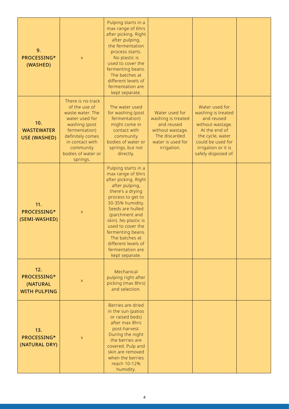| 9.<br>PROCESSING*<br>(WASHED)                         | $\mathsf{X}$                                                                                                                                                                                     | Pulping starts in a<br>max range of 6hrs<br>after picking. Right<br>after pulping,<br>the fermentation<br>process starts.<br>No plastic is<br>used to cover the<br>fermenting beans.<br>The batches at<br>different levels of<br>fermentation are<br>kept separate.                                                                    |                                                                                                                             |                                                                                                                                                                                |  |
|-------------------------------------------------------|--------------------------------------------------------------------------------------------------------------------------------------------------------------------------------------------------|----------------------------------------------------------------------------------------------------------------------------------------------------------------------------------------------------------------------------------------------------------------------------------------------------------------------------------------|-----------------------------------------------------------------------------------------------------------------------------|--------------------------------------------------------------------------------------------------------------------------------------------------------------------------------|--|
| 10.<br><b>WASTEWATER</b><br><b>USE (WASHED)</b>       | There is no track<br>of the use of<br>waste water. The<br>water used for<br>washing (post<br>fermentation)<br>definitely comes<br>in contact with<br>community<br>bodies of water or<br>springs. | The water used<br>for washing (post<br>fermentation)<br>might come in<br>contact with<br>community<br>bodies of water or<br>springs, but not<br>directly.                                                                                                                                                                              | Water used for<br>washing is treated<br>and reused<br>without wastage.<br>The discarded<br>water is used for<br>irrigation. | Water used for<br>washing is treated<br>and reused<br>without wastage.<br>At the end of<br>the cycle, water<br>could be used for<br>irrigation or it is<br>safely disposed of. |  |
| 11.<br>PROCESSING*<br>(SEMI-WASHED)                   | $\mathsf{X}$                                                                                                                                                                                     | Pulping starts in a<br>max range of 6hrs<br>after picking. Right<br>after pulping,<br>there's a drying<br>process to get to<br>30-35% humidity.<br>Seeds are hulled<br>(parchment and<br>skin). No plastic is<br>used to cover the<br>fermenting beans.<br>The batches at<br>different levels of<br>fermentation are<br>kept separate. |                                                                                                                             |                                                                                                                                                                                |  |
| 12.<br>PROCESSING*<br>(NATURAL<br><b>WITH PULPING</b> | X                                                                                                                                                                                                | Mechanical<br>pulping right after<br>picking (max 8hrs)<br>and selection.                                                                                                                                                                                                                                                              |                                                                                                                             |                                                                                                                                                                                |  |
| 13.<br>PROCESSING*<br>(NATURAL DRY)                   | $\mathsf{X}$                                                                                                                                                                                     | Berries are dried<br>in the sun (patios<br>or raised beds)<br>after max 8hrs<br>post-harvest.<br>During the night<br>the berries are<br>covered. Pulp and<br>skin are removed<br>when the berries<br>reach 10-12%<br>humidity.                                                                                                         |                                                                                                                             |                                                                                                                                                                                |  |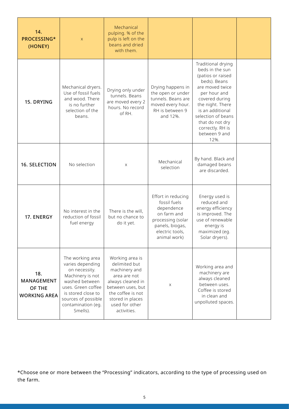| 14.<br>PROCESSING*<br>(HONEY)                             | $\mathsf{X}$                                                                                                                                                                                     | Mechanical<br>pulping. % of the<br>pulp is left on the<br>beans and dried<br>with them.                                                                                               |                                                                                                                                            |                                                                                                                                                                                                                                                               |  |
|-----------------------------------------------------------|--------------------------------------------------------------------------------------------------------------------------------------------------------------------------------------------------|---------------------------------------------------------------------------------------------------------------------------------------------------------------------------------------|--------------------------------------------------------------------------------------------------------------------------------------------|---------------------------------------------------------------------------------------------------------------------------------------------------------------------------------------------------------------------------------------------------------------|--|
| 15. DRYING                                                | Mechanical dryers.<br>Use of fossil fuels<br>and wood. There<br>is no further<br>selection of the<br>beans.                                                                                      | Drying only under<br>tunnels. Beans<br>are moved every 2<br>hours. No record<br>of RH                                                                                                 | Drying happens in<br>the open or under<br>tunnels. Beans are<br>moved every hour.<br>RH is between 9<br>and 12%.                           | Traditional drying<br>beds in the sun<br>(patios or raised<br>beds). Beans<br>are moved twice<br>per hour and<br>covered during<br>the night. There<br>is an additional<br>selection of beans<br>that do not dry<br>correctly. RH is<br>between 9 and<br>12%. |  |
| 16. SELECTION                                             | No selection                                                                                                                                                                                     | X                                                                                                                                                                                     | Mechanical<br>selection                                                                                                                    | By hand. Black and<br>damaged beans<br>are discarded.                                                                                                                                                                                                         |  |
| 17. ENERGY                                                | No interest in the<br>reduction of fossil<br>fuel energy                                                                                                                                         | There is the will,<br>but no chance to<br>do it yet.                                                                                                                                  | Effort in reducing<br>fossil fuels<br>dependence<br>on farm and<br>processing (solar<br>panels, biogas,<br>electric tools,<br>animal work) | Energy used is<br>reduced and<br>energy efficiency<br>is improved. The<br>use of renewable<br>energy is<br>maximized (eq.<br>Solar dryers).                                                                                                                   |  |
| 18.<br><b>MANAGEMENT</b><br>OF THE<br><b>WORKING AREA</b> | The working area<br>varies depending<br>on necessity.<br>Machinery is not<br>washed between<br>uses. Green coffee<br>is stored close to<br>sources of possible<br>contamination (eg.<br>Smells). | Working area is<br>delimited but<br>machinery and<br>area are not<br>always cleaned in<br>between uses, but<br>the coffee is not<br>stored in places<br>used for other<br>activities. | X                                                                                                                                          | Working area and<br>machinery are<br>always cleaned<br>between uses.<br>Coffee is stored<br>in clean and<br>unpolluted spaces.                                                                                                                                |  |

\*Choose one or more between the "Processing" indicators, according to the type of processing used on the farm.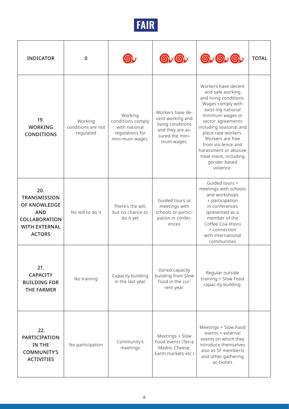

| <b>INDICATOR</b>                                                                                                   | 0                                          |                                                                                     |                                                                                                                | OVOVO                                                                                                                                                                                                                                                                                                                           | <b>TOTAL</b> |
|--------------------------------------------------------------------------------------------------------------------|--------------------------------------------|-------------------------------------------------------------------------------------|----------------------------------------------------------------------------------------------------------------|---------------------------------------------------------------------------------------------------------------------------------------------------------------------------------------------------------------------------------------------------------------------------------------------------------------------------------|--------------|
| 19.<br><b>WORKING</b><br><b>CONDITIONS</b>                                                                         | Working<br>conditions are not<br>regulated | Working<br>conditions comply<br>with national<br>regulations for<br>mini-mum wages. | Workers have de-<br>cent working and<br>living conditions<br>and they are as-<br>sured the mini-<br>mum wages. | Workers have decent<br>and safe working<br>and living conditions.<br>Wages comply with<br>exist-ing national<br>minimum wages or<br>sector agreements<br>including seasonal and<br>piece rate workers.<br>Workers are free<br>from vio-lence and<br>harassment or abusive<br>treat-ment, including<br>gender-based<br>violence. |              |
| 20.<br>TRANSMISSION<br>OF KNOWLEDGE<br><b>AND</b><br><b>COLLABORATION</b><br><b>WITH EXTERNAL</b><br><b>ACTORS</b> | No will to do it                           | There's the will,<br>but no chance to<br>do it yet                                  | Guided tours or<br>meetings with<br>schools or partici-<br>pation in confer-<br>ences                          | Guided tours +<br>meetings with schools<br>and workshops<br>+ participation<br>in conferences<br>(presented as a<br>member of the<br>Coffee Coa-lition)<br>+ connection<br>with international<br>communities                                                                                                                    |              |
| 21.<br><b>CAPACITY</b><br><b>BUILDING FOR</b><br><b>THE FARMER</b>                                                 | No training                                | Capacity building<br>in the last year                                               | Varied capacity<br>building from Slow<br>Food in the cur-<br>rent year.                                        | Regular outside<br>training + Slow Food<br>capac-ity building.                                                                                                                                                                                                                                                                  |              |
| 22.<br><b>PARTICIPATION</b><br>IN THE<br><b>COMMUNITY'S</b><br><b>ACTIVITIES</b>                                   | No participation                           | Community's<br>meetings                                                             | Meetings + Slow<br>Food events (Terra<br>Madre, Cheese,<br>Earth markets etc.)                                 | Meetings + Slow Food<br>events + external<br>events (in which they<br>introduce themselves<br>also as SF members)<br>and other gathering<br>ac-tivities                                                                                                                                                                         |              |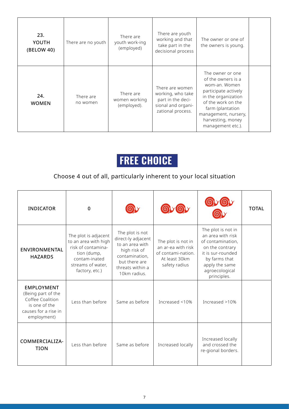| 23.<br>YOUTH<br>(BELOW 40) | There are no youth    | There are<br>youth work-ing<br>(employed) | There are youth<br>working and that<br>take part in the<br>decisional process                        | The owner or one of<br>the owners is young.                                                                                                                                                                        |
|----------------------------|-----------------------|-------------------------------------------|------------------------------------------------------------------------------------------------------|--------------------------------------------------------------------------------------------------------------------------------------------------------------------------------------------------------------------|
| 24.<br><b>WOMEN</b>        | There are<br>no women | There are<br>women working<br>(employed). | There are women<br>working, who take<br>part in the deci-<br>sional and organi-<br>zational process. | The owner or one<br>of the owners is a<br>wom-an. Women<br>participate actively<br>in the organization<br>of the work on the<br>farm (plantation<br>management, nursery,<br>harvesting, money<br>management etc.). |

## **FREE CHOICE**

#### Choose 4 out of all, particularly inherent to your local situation

| <b>INDICATOR</b>                                                                                                    | $\Omega$                                                                                                                                  |                                                                                                                                                 |                                                                                                  |                                                                                                                                                                          | <b>TOTAL</b> |
|---------------------------------------------------------------------------------------------------------------------|-------------------------------------------------------------------------------------------------------------------------------------------|-------------------------------------------------------------------------------------------------------------------------------------------------|--------------------------------------------------------------------------------------------------|--------------------------------------------------------------------------------------------------------------------------------------------------------------------------|--------------|
| <b>ENVIRONMENTAL</b><br><b>HAZARDS</b>                                                                              | The plot is adjacent<br>to an area with high<br>risk of contamina-<br>tion (dump,<br>contam-inated<br>streams of water,<br>factory, etc.) | The plot is not<br>direct-ly adjacent<br>to an area with<br>high risk of<br>contamination,<br>but there are<br>threats within a<br>10km radius. | The plot is not in<br>an ar-ea with risk<br>of contami-nation.<br>At least 30km<br>safety radius | The plot is not in<br>an area with risk<br>of contamination,<br>on the contrary<br>it is sur-rounded<br>by farms that<br>apply the same<br>agroecological<br>principles. |              |
| <b>EMPLOYMENT</b><br>(Being part of the<br>Coffee Coalition<br>is one of the<br>causes for a rise in<br>employment) | Less than before                                                                                                                          | Same as before                                                                                                                                  | Increased <10%                                                                                   | Increased >10%                                                                                                                                                           |              |
| COMMERCIALIZA-<br><b>TION</b>                                                                                       | Less than before                                                                                                                          | Same as before                                                                                                                                  | Increased locally                                                                                | Increased locally<br>and crossed the<br>re-gional borders.                                                                                                               |              |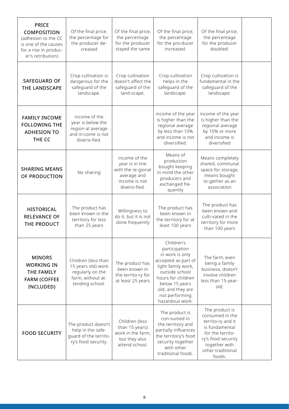| <b>PRICE</b><br>COMPOSITION<br>(adhesion to the CC<br>is one of the causes<br>for a rise in produc-<br>er's retribution) | Of the final price,<br>the percentage for<br>the producer de-<br>creased                              | Of the final price,<br>the percentage<br>for the producer<br>stayed the same                            | Of the final price,<br>the percentage<br>for the pro-ducer<br>increased.                                                                                                                                        | Of the final price,<br>the percentage<br>for the producer<br>doubled.                                                                                              |  |
|--------------------------------------------------------------------------------------------------------------------------|-------------------------------------------------------------------------------------------------------|---------------------------------------------------------------------------------------------------------|-----------------------------------------------------------------------------------------------------------------------------------------------------------------------------------------------------------------|--------------------------------------------------------------------------------------------------------------------------------------------------------------------|--|
| <b>SAFEGUARD OF</b><br>THE LANDSCAPE                                                                                     | Crop cultivation is<br>dangerous for the<br>safeguard of the<br>landscape.                            | Crop cultivation<br>doesn't affect the<br>safeguard of the<br>land-scape.                               | Crop cultivation<br>helps in the<br>safeguard of the<br>landscape.                                                                                                                                              | Crop cultivation is<br>fundamental in the<br>safequard of the<br>landscape.                                                                                        |  |
| <b>FAMILY INCOME</b><br><b>FOLLOWING THE</b><br><b>ADHESION TO</b><br>THE CC                                             | income of the<br>year is below the<br>region-al average<br>and in-come is not<br>diversi-fied         |                                                                                                         | income of the year<br>is higher than the<br>regional average<br>by less than 10%<br>and income is not<br>diversified.                                                                                           | income of the year<br>is higher than the<br>regional average<br>by 10% or more<br>and income is<br>diversified                                                     |  |
| <b>SHARING MEANS</b><br>OF PRODUCTION                                                                                    | No sharing                                                                                            | income of the<br>year is in line<br>with the re-gional<br>average and<br>income is not<br>diversi-fied. | Means of<br>production<br>bought keeping<br>in mind the other<br>producers and<br>exchanged fre-<br>quently                                                                                                     | Means completely<br>shared, communal<br>space for storage,<br>means bought<br>to-gether as an<br>association                                                       |  |
| <b>HISTORICAL</b><br><b>RELEVANCE OF</b><br>THE PRODUCT                                                                  | The product has<br>been known in the<br>territory for less<br>than 25 years                           | Willingness to<br>do it, but it is not<br>done frequently                                               | The product has<br>been known in<br>the territory for at<br>least 100 years                                                                                                                                     | The product has<br>been known and<br>culti-vated in the<br>territory for more<br>than 100 years                                                                    |  |
| <b>MINORS</b><br><b>WORKING IN</b><br>THE FAMILY<br><b>FARM (COFFEE</b><br>INCLUDED)                                     | Children (less than<br>15 years old) work<br>regularly on the<br>farm, without at-<br>tending school. | The product has<br>been known in<br>the territo-ry for<br>at least 25 years                             | Children's<br>participation<br>in work is only<br>accepted as part of<br>light family work,<br>outside school<br>hours for children<br>below 15 years<br>old, and they are<br>not performing<br>hazardous work. | The farm, even<br>being a family<br>business, doesn't<br>involve children<br>less than 15-year-<br>old.                                                            |  |
| <b>FOOD SECURITY</b>                                                                                                     | The product doesn't<br>help in the safe-<br>quard of the territo-<br>ry's food security.              | Children (less<br>than 15 years)<br>work in the farm,<br>but they also<br>attend school.                | The product is<br>con-sumed in<br>the territory and<br>partially influences<br>the territory's food<br>security together<br>with other<br>traditional foods.                                                    | The product is<br>consumed in the<br>territo-ry and it<br>is fundamental<br>for the territo-<br>ry's food security<br>together with<br>other traditional<br>foods. |  |